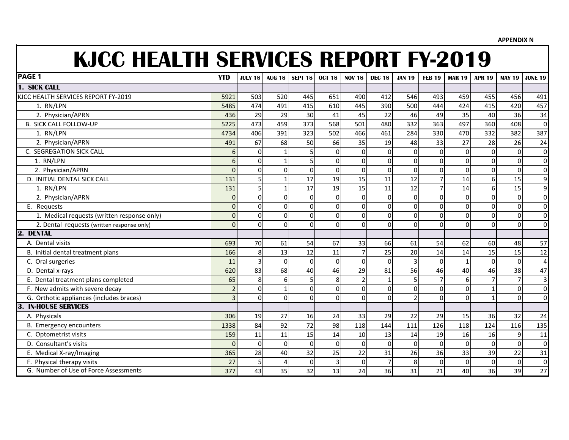**APPENDIX N**

## **KJCC HEALTH SERVICES REPORT FY-2019**

| <b>PAGE 1</b>                               | <b>YTD</b>       | <b>JULY 18</b> | <b>AUG 18</b> | SEPT <sub>18</sub> | <b>OCT 18</b> | <b>NOV 18</b>  | <b>DEC 18</b>  | <b>JAN 19</b>  | <b>FEB 19</b>  | <b>MAR 19</b> | <b>APR 19</b>  | <b>MAY 19</b>  | <b>JUNE 19</b> |
|---------------------------------------------|------------------|----------------|---------------|--------------------|---------------|----------------|----------------|----------------|----------------|---------------|----------------|----------------|----------------|
| 1. SICK CALL                                |                  |                |               |                    |               |                |                |                |                |               |                |                |                |
| KJCC HEALTH SERVICES REPORT FY-2019         | 5921             | 503            | 520           | 445                | 651           | 490            | 412            | 546            | 493            | 459           | 455            | 456            | 491            |
| 1. RN/LPN                                   | 5485             | 474            | 491           | 415                | 610           | 445            | 390            | 500            | 444            | 424           | 415            | 420            | 457            |
| 2. Physician/APRN                           | 436              | 29             | 29            | 30                 | 41            | 45             | 22             | 46             | 49             | 35            | 40             | 36             | 34             |
| <b>B. SICK CALL FOLLOW-UP</b>               | 5225             | 473            | 459           | 373                | 568           | 501            | 480            | 332            | 363            | 497           | 360            | 408            | $\mathbf 0$    |
| 1. RN/LPN                                   | 4734             | 406            | 391           | 323                | 502           | 466            | 461            | 284            | 330            | 470           | 332            | 382            | 387            |
| 2. Physician/APRN                           | 491              | 67             | 68            | 50                 | 66            | 35             | 19             | 48             | 33             | 27            | 28             | 26             | 24             |
| C. SEGREGATION SICK CALL                    | $6 \overline{6}$ | $\mathbf 0$    |               |                    | 0             | $\mathbf 0$    | $\mathbf 0$    | $\mathbf 0$    | 0              | $\Omega$      | $\Omega$       | $\mathbf 0$    | $\Omega$       |
| 1. RN/LPN                                   | $6 \overline{6}$ | $\mathbf 0$    |               |                    | 0             | $\mathbf 0$    | $\mathbf 0$    | $\overline{0}$ | 0              | $\Omega$      | $\Omega$       | $\mathbf 0$    | $\Omega$       |
| 2. Physician/APRN                           | $\overline{0}$   | $\overline{0}$ | $\Omega$      | $\Omega$           | $\Omega$      | $\Omega$       | $\Omega$       | $\Omega$       | 0              | $\Omega$      | $\Omega$       | $\Omega$       | $\Omega$       |
| D. INITIAL DENTAL SICK CALL                 | 131              | $\overline{5}$ |               | 17                 | 19            | 15             | 11             | 12             | $\overline{7}$ | 14            | 6 <sup>1</sup> | 15             | 9              |
| 1. RN/LPN                                   | 131              | $\overline{5}$ |               | 17                 | 19            | 15             | 11             | 12             | $\overline{7}$ | 14            | 6 <sup>1</sup> | 15             | 9              |
| 2. Physician/APRN                           | 0                | $\mathbf 0$    | $\Omega$      | $\mathbf{0}$       | $\Omega$      | $\Omega$       | $\Omega$       | $\mathbf 0$    | 0              | $\Omega$      | ΩI             | $\mathbf 0$    | $\overline{0}$ |
| E. Requests                                 | $\overline{0}$   | $\overline{0}$ | $\Omega$      | $\Omega$           | $\Omega$      | $\Omega$       | $\Omega$       | $\mathbf{0}$   | 0              | $\Omega$      | $\Omega$       | $\Omega$       | $\overline{0}$ |
| 1. Medical requests (written response only) | $\overline{0}$   | $\overline{0}$ | $\Omega$      | $\Omega$           | 0             | $\Omega$       | $\Omega$       | $\mathbf{0}$   | 0              | $\Omega$      | $\Omega$       | $\mathbf 0$    | $\overline{0}$ |
| 2. Dental requests (written response only)  | $\overline{0}$   | $\mathbf 0$    | 0             | $\Omega$           | 0             | $\Omega$       | $\Omega$       | $\Omega$       | 0              | $\Omega$      | $\Omega$       | $\Omega$       | $\overline{0}$ |
| 2.<br><b>DENTAL</b>                         |                  |                |               |                    |               |                |                |                |                |               |                |                |                |
| A. Dental visits                            | 693              | 70             | 61            | 54                 | 67            | 33             | 66             | 61             | 54             | 62            | 60             | 48             | 57             |
| B. Initial dental treatment plans           | 166              | 8              | 13            | 12                 | 11            | $\overline{7}$ | 25             | 20             | 14             | 14            | 15             | 15             | 12             |
| C. Oral surgeries                           | 11               | $\overline{3}$ | $\Omega$      | $\Omega$           | $\Omega$      | $\mathbf 0$    | $\Omega$       | 3              | $\Omega$       | $\mathbf{1}$  | $\Omega$       | $\mathbf 0$    | 4              |
| D. Dental x-rays                            | 620              | 83             | 68            | 40                 | 46            | 29             | 81             | 56             | 46             | 40            | 46             | 38             | 47             |
| E. Dental treatment plans completed         | 65               | 8              | 6             |                    | 8             | $\overline{2}$ | $\mathbf{1}$   | 5              | $\overline{7}$ | 6             |                | $\overline{7}$ | $\overline{3}$ |
| F. New admits with severe decay             | $\overline{2}$   | $\mathbf 0$    |               | $\Omega$           | $\Omega$      | $\Omega$       | $\Omega$       | $\mathbf 0$    | 0              | $\Omega$      |                | $\mathbf{0}$   | $\overline{0}$ |
| G. Orthotic appliances (includes braces)    | $\overline{3}$   | $\overline{0}$ | O             | $\Omega$           | $\Omega$      | $\Omega$       | $\Omega$       | $\overline{2}$ | $\Omega$       | $\Omega$      |                | $\Omega$       | $\overline{0}$ |
| <b>IN-HOUSE SERVICES</b><br>3.              |                  |                |               |                    |               |                |                |                |                |               |                |                |                |
| A. Physicals                                | 306              | 19             | 27            | 16                 | 24            | 33             | 29             | 22             | 29             | 15            | 36             | 32             | 24             |
| B. Emergency encounters                     | 1338             | 84             | 92            | 72                 | 98            | 118            | 144            | 111            | 126            | 118           | 124            | 116            | 135            |
| C. Optometrist visits                       | 159              | 11             | 11            | 15                 | 14            | 10             | 13             | 14             | 19             | 16            | 16             | 9              | 11             |
| D. Consultant's visits                      | $\Omega$         | $\Omega$       | $\Omega$      | $\Omega$           | $\Omega$      | $\Omega$       | $\Omega$       | $\Omega$       | 0              | $\Omega$      | $\Omega$       | $\Omega$       | $\Omega$       |
| E. Medical X-ray/Imaging                    | 365              | 28             | 40            | 32                 | 25            | 22             | 31             | 26             | 36             | 33            | 39             | 22             | 31             |
| F. Physical therapy visits                  | 27               | 5              |               | $\mathbf{0}$       | 3             | $\Omega$       | $\overline{7}$ | 8              | $\Omega$       | $\Omega$      | $\Omega$       | $\mathbf 0$    | $\mathbf 0$    |
| G. Number of Use of Force Assessments       | 377              | 43             | 35            | 32                 | 13            | 24             | 36             | 31             | 21             | 40            | 36             | 39             | 27             |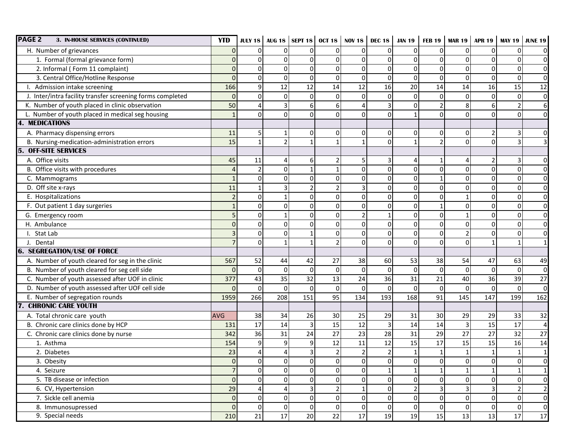| <b>PAGE 2</b><br>3. IN-HOUSE SERVICES (CONTINUED)          | <b>YTD</b>     |                |                |                         |                | <b>JULY 18</b> AUG 18   SEPT 18   OCT 18   NOV 18 | <b>DEC 18</b>   | <b>JAN 19</b>  | <b>FEB 19</b>  |                | <b>MAR 19   APR 19   MAY 19</b> |                | <b>JUNE 19</b>   |
|------------------------------------------------------------|----------------|----------------|----------------|-------------------------|----------------|---------------------------------------------------|-----------------|----------------|----------------|----------------|---------------------------------|----------------|------------------|
| H. Number of grievances                                    | $\Omega$       | $\Omega$       | $\Omega$       | $\Omega$                | $\Omega$       | <sup>0</sup>                                      | $\mathbf{0}$    | 0              | $\Omega$       | $\Omega$       | 0                               | $\Omega$       | $\overline{O}$   |
| 1. Formal (formal grievance form)                          | $\Omega$       | $\Omega$       | $\Omega$       | $\mathbf{0}$            | $\mathbf 0$    | $\Omega$                                          | $\mathbf 0$     | 0              | $\Omega$       | $\Omega$       | 0                               | $\Omega$       | $\overline{0}$   |
| 2. Informal (Form 11 complaint)                            | 0              | $\Omega$       | $\Omega$       | $\mathbf{0}$            | $\mathbf 0$    | $\Omega$                                          | $\mathbf 0$     | 0              | $\Omega$       | $\Omega$       | 0                               | 0              | $\overline{O}$   |
| 3. Central Office/Hotline Response                         | $\overline{0}$ | $\Omega$       | $\Omega$       | $\Omega$                | $\Omega$       | $\Omega$                                          | $\mathbf 0$     | $\mathbf 0$    | $\Omega$       | $\Omega$       | $\Omega$                        | $\Omega$       | $\overline{0}$   |
| I. Admission intake screening                              | 166            | 9              | 12             | 12                      | 14             | 12                                                | 16              | 20             | 14             | 14             | 16                              | 15             | 12               |
| J. Inter/intra facility transfer screening forms completed | $\mathbf 0$    | 0              | $\Omega$       | $\mathbf 0$             | $\mathbf{0}$   | $\mathbf{0}$                                      | $\mathbf 0$     | $\mathbf 0$    | $\Omega$       | $\Omega$       | $\Omega$                        | $\mathbf 0$    | $\overline{0}$   |
| K. Number of youth placed in clinic observation            | 50             | 4              | $\overline{3}$ | 6                       | 6              | Δ                                                 | 3               | $\mathbf 0$    | $\overline{2}$ | 8 <sup>1</sup> | 6                               | $\overline{2}$ | $6 \overline{6}$ |
| L. Number of youth placed in medical seg housing           | $\mathbf{1}$   | $\Omega$       | $\Omega$       | $\Omega$                | $\Omega$       | $\Omega$                                          | $\Omega$        | $\mathbf{1}$   | $\Omega$       | $\Omega$       | $\Omega$                        | $\Omega$       | $\overline{0}$   |
| <b>MEDICATIONS</b>                                         |                |                |                |                         |                |                                                   |                 |                |                |                |                                 |                |                  |
| A. Pharmacy dispensing errors                              | 11             | 5              | -1             | $\mathbf 0$             | $\mathbf{0}$   | $\Omega$                                          | $\mathbf 0$     | 0              | 0              | $\overline{0}$ | $\overline{2}$                  | 3              | $\overline{0}$   |
| B. Nursing-medication-administration errors                | 15             | $\mathbf{1}$   | $\overline{2}$ | $\mathbf{1}$            | $\mathbf{1}$   |                                                   | $\Omega$        | $\mathbf{1}$   | $\overline{2}$ | $\Omega$       | $\Omega$                        | $\overline{3}$ | 3                |
| <b>OFF-SITE SERVICES</b>                                   |                |                |                |                         |                |                                                   |                 |                |                |                |                                 |                |                  |
| A. Office visits                                           | 45             | 11             | 4              | 6                       | $\overline{2}$ |                                                   | 3               | 4              |                |                |                                 | 3              | $\overline{O}$   |
| B. Office visits with procedures                           | $\overline{4}$ | $\overline{2}$ | $\Omega$       | $\mathbf{1}$            | $\mathbf{1}$   | $\Omega$                                          | $\mathbf 0$     | 0              | $\mathbf 0$    | $\Omega$       | $\Omega$                        | 0              | $\overline{0}$   |
| C. Mammograms                                              | $\mathbf{1}$   | $\Omega$       | $\Omega$       | $\mathbf 0$             | $\mathbf 0$    | $\Omega$                                          | $\mathbf 0$     | $\overline{0}$ | $\mathbf{1}$   | $\Omega$       | 0                               | 0              | $\overline{0}$   |
| D. Off site x-rays                                         | 11             | $\mathbf{1}$   | $\overline{3}$ | $\overline{2}$          | $\overline{2}$ | 3                                                 | $\mathbf 0$     | 0              | $\Omega$       | $\Omega$       | 0                               | 0              | $\overline{0}$   |
| E. Hospitalizations                                        | $\overline{2}$ | $\Omega$       |                | $\Omega$                | $\Omega$       | $\Omega$                                          | $\Omega$        | 0              | $\Omega$       |                | $\Omega$                        | $\Omega$       | $\overline{0}$   |
| F. Out patient 1 day surgeries                             | $\mathbf{1}$   | $\Omega$       | $\Omega$       | $\mathbf{0}$            | $\Omega$       | $\Omega$                                          | $\mathbf 0$     | 0              |                | $\Omega$       | 0                               | 0              | $\overline{O}$   |
| G. Emergency room                                          | 5              | $\Omega$       |                | $\Omega$                | $\mathbf 0$    | $\mathcal{D}$                                     |                 | 0              | $\Omega$       |                | 0                               | $\Omega$       | $\overline{O}$   |
| H. Ambulance                                               | $\mathbf 0$    | $\Omega$       | $\Omega$       | $\Omega$                | $\Omega$       | $\Omega$                                          | $\mathbf 0$     | 0              | $\Omega$       | $\Omega$       | 0                               | $\Omega$       | $\overline{O}$   |
| I. Stat Lab                                                | 3              | $\overline{0}$ | $\Omega$       | $\mathbf{1}$            | $\mathbf{0}$   | 0                                                 | $\mathbf 0$     | 0              | $\Omega$       | $\overline{2}$ | 0                               | 0              | $\overline{0}$   |
| J. Dental                                                  | $\overline{7}$ | $\Omega$       |                |                         | $\mathfrak{p}$ | $\Omega$                                          | $\Omega$        | 0              | $\Omega$       | $\Omega$       |                                 | $\mathbf{1}$   | $\mathbf{1}$     |
| <b>6. SEGREGATION/USE OF FORCE</b>                         |                |                |                |                         |                |                                                   |                 |                |                |                |                                 |                |                  |
| A. Number of youth cleared for seg in the clinic           | 567            | 52             | 44             | 42                      | 27             | 38                                                | 60              | 53             | 38             | 54             | 47                              | 63             | 49               |
| B. Number of youth cleared for seg cell side               | $\mathbf{0}$   | $\Omega$       | $\Omega$       | $\Omega$                | $\mathbf 0$    | $\Omega$                                          | $\mathbf 0$     | $\mathbf 0$    | $\Omega$       | $\overline{0}$ | $\Omega$                        | $\mathbf 0$    | $\overline{0}$   |
| C. Number of youth assessed after UOF in clinic            | 377            | 43             | 35             | 32                      | 13             | 24                                                | 36              | 31             | 21             | 40             | 36                              | 39             | 27               |
| D. Number of youth assessed after UOF cell side            | $\Omega$       | $\Omega$       | $\Omega$       | $\mathbf 0$             | $\mathbf 0$    | $\Omega$                                          | $\mathbf 0$     | 0              | $\Omega$       | $\Omega$       | $\Omega$                        | $\mathbf 0$    | $\overline{0}$   |
| E. Number of segregation rounds                            | 1959           | 266            | 208            | 151                     | 95             | 134                                               | 193             | 168            | 91             | 145            | 147                             | 199            | 162              |
| <b>CHRONIC CARE YOUTH</b>                                  |                |                |                |                         |                |                                                   |                 |                |                |                |                                 |                |                  |
| A. Total chronic care youth                                | <b>AVG</b>     | 38             | 34             | 26                      | 30             | 25                                                | 29              | 31             | 30             | 29             | 29                              | 33             | 32               |
| B. Chronic care clinics done by HCP                        | 131            | 17             | 14             | $\overline{3}$          | 15             | 12                                                | $\overline{3}$  | 14             | 14             | $\vert$ 3      | 15                              | 17             | $\overline{a}$   |
| C. Chronic care clinics done by nurse                      | 342            | 36             | 31             | 24                      | 27             | 23                                                | 28              | 31             | 29             | 27             | 27                              | 32             | 27               |
| 1. Asthma                                                  | 154            | 9              | 9              | 9                       | 12             | 11                                                | 12              | 15             | 17             | 15             | 15                              | 16             | 14               |
| 2. Diabetes                                                | 23             | 4              |                | $\overline{\mathbf{3}}$ | $\overline{2}$ | $\overline{2}$                                    | $\overline{2}$  | $\mathbf 1$    | $\mathbf{1}$   | $\mathbf{1}$   | $\mathbf{1}$                    | $\mathbf 1$    | $\mathbf 1$      |
| 3. Obesity                                                 | $\pmb{0}$      | 0              | $\overline{0}$ | $\overline{0}$          | $\overline{0}$ | $\overline{0}$                                    | $\overline{0}$  | $\overline{0}$ | 0              | $\overline{0}$ | $\overline{0}$                  | $\overline{0}$ | $\overline{0}$   |
| 4. Seizure                                                 | $\overline{7}$ | $\Omega$       | $\overline{0}$ | $\mathbf 0$             | $\overline{0}$ | $\Omega$                                          | $1\overline{ }$ | $\mathbf{1}$   |                | 1 <sup>1</sup> |                                 | $\mathbf{1}$   | $\mathbf{1}$     |
| 5. TB disease or infection                                 | $\mathbf 0$    | $\overline{0}$ | $\overline{0}$ | $\mathbf 0$             | $\overline{0}$ | $\Omega$                                          | $\overline{0}$  | 0              | $\Omega$       | $\overline{0}$ | οI                              | 0              | $\overline{O}$   |
| 6. CV, Hypertension                                        | 29             | 4              | $\overline{4}$ | $\overline{3}$          | $\overline{2}$ |                                                   | $\mathbf 0$     | $\mathbf 2$    | 3              | 3              | 3                               | $\overline{2}$ | $\overline{2}$   |
| 7. Sickle cell anemia                                      | $\mathbf 0$    | $\overline{0}$ | $\overline{0}$ | $\overline{0}$          | $\Omega$       | $\Omega$                                          | $\overline{0}$  | $\pmb{0}$      | $\overline{0}$ | $\overline{0}$ | $\Omega$                        | 0              | $\overline{0}$   |
| 8. Immunosupressed                                         | $\mathbf 0$    | $\overline{0}$ | $\overline{0}$ | $\overline{0}$          | $\overline{0}$ | $\mathbf 0$                                       | $\overline{0}$  | $\overline{0}$ | $\overline{0}$ | $\overline{0}$ | $\Omega$                        | $\overline{0}$ | $\overline{0}$   |
| 9. Special needs                                           | 210            | 21             | 17             | 20                      | 22             | 17                                                | 19              | 19             | 15             | 13             | 13                              | 17             | 17               |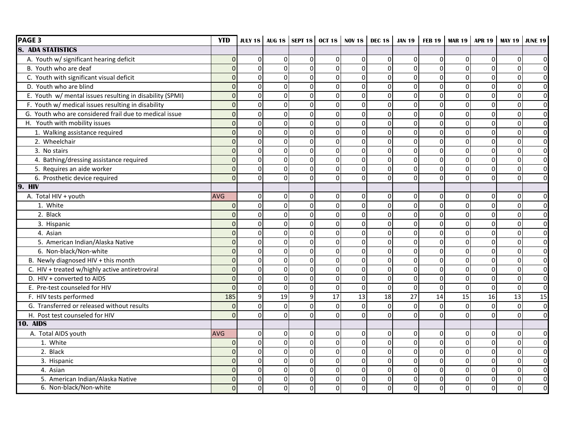| <b>PAGE 3</b>                                            | <b>YTD</b>     |                |                |                |                | JULY 18   AUG 18   SEPT 18   OCT 18   NOV 18   DEC 18 |                |                 |             |             | <b>JAN 19   FEB 19   MAR 19   APR 19   MAY 19  </b> |                 | <b>JUNE 19</b>          |
|----------------------------------------------------------|----------------|----------------|----------------|----------------|----------------|-------------------------------------------------------|----------------|-----------------|-------------|-------------|-----------------------------------------------------|-----------------|-------------------------|
| <b>8. ADA STATISTICS</b>                                 |                |                |                |                |                |                                                       |                |                 |             |             |                                                     |                 |                         |
| A. Youth w/ significant hearing deficit                  | $\mathbf 0$    | $\overline{0}$ | $\Omega$       | $\mathbf 0$    | $\mathbf 0$    | $\Omega$                                              | $\Omega$       | $\mathbf 0$     | $\mathbf 0$ | $\mathbf 0$ | $\mathbf{0}$                                        | 0               | $\Omega$                |
| B. Youth who are deaf                                    | $\mathbf 0$    | $\overline{0}$ | $\Omega$       | $\mathbf 0$    | $\mathbf 0$    | $\Omega$                                              | $\overline{0}$ | 0               | $\Omega$    | $\Omega$    | $\Omega$                                            | 0               | $\overline{0}$          |
| C. Youth with significant visual deficit                 | $\mathbf 0$    | $\mathsf{o}$   | $\overline{0}$ | $\Omega$       | $\Omega$       | $\Omega$                                              | $\overline{0}$ | 0               | $\Omega$    | $\Omega$    | $\Omega$                                            | $\mathbf 0$     | $\overline{0}$          |
| D. Youth who are blind                                   | $\mathbf 0$    | $\overline{0}$ | $\overline{0}$ | $\mathbf 0$    | $\mathbf 0$    | $\Omega$                                              | $\Omega$       | $\mathbf 0$     | $\mathbf 0$ | $\Omega$    | $\Omega$                                            | 0               | $\overline{0}$          |
| E. Youth w/ mental issues resulting in disability (SPMI) | $\mathbf 0$    | $\mathsf{o}$   | $\overline{0}$ | 0              | $\Omega$       | $\Omega$                                              | $\Omega$       | $\mathbf 0$     | $\Omega$    | $\Omega$    | $\Omega$                                            | $\mathbf 0$     | $\overline{0}$          |
| F. Youth w/ medical issues resulting in disability       | $\mathbf 0$    | $\overline{0}$ | $\Omega$       | $\mathsf{O}$   | $\Omega$       | $\Omega$                                              | $\overline{0}$ | $\overline{0}$  | $\mathbf 0$ | $\Omega$    | $\mathbf{0}$                                        | $\mathbf 0$     | $\overline{0}$          |
| G. Youth who are considered frail due to medical issue   | $\overline{0}$ | $\mathsf{O}$   | $\overline{0}$ | $\Omega$       | $\overline{0}$ | $\Omega$                                              | $\Omega$       | $\mathbf 0$     | $\mathbf 0$ | $\Omega$    | $\Omega$                                            | $\Omega$        | $\overline{0}$          |
| H. Youth with mobility issues                            | $\mathbf 0$    | $\overline{0}$ | $\Omega$       | $\Omega$       | $\Omega$       | $\Omega$                                              | $\Omega$       | $\mathbf 0$     | $\mathbf 0$ | 0           | $\Omega$                                            | $\mathbf 0$     | $\overline{0}$          |
| 1. Walking assistance required                           | $\mathbf 0$    | $\Omega$       | $\Omega$       | $\Omega$       | $\Omega$       | $\Omega$                                              | $\Omega$       | 0               | $\Omega$    | $\Omega$    | $\Omega$                                            | $\Omega$        | $\mathbf 0$             |
| 2. Wheelchair                                            | $\mathbf 0$    | $\overline{0}$ | $\Omega$       | 0              | $\mathbf 0$    | $\Omega$                                              | $\overline{0}$ | $\mathbf 0$     | $\Omega$    | $\Omega$    | $\Omega$                                            | 0               | $\overline{0}$          |
| 3. No stairs                                             | $\mathbf 0$    | $\mathsf{o}$   | $\overline{0}$ | $\mathbf 0$    | $\mathbf 0$    | $\Omega$                                              | $\overline{0}$ | $\overline{0}$  | $\mathbf 0$ | $\mathbf 0$ | $\mathbf{0}$                                        | $\mathbf 0$     | $\overline{\mathbf{0}}$ |
| 4. Bathing/dressing assistance required                  | $\mathbf 0$    | $\Omega$       | $\Omega$       | $\Omega$       | $\Omega$       | $\Omega$                                              | $\Omega$       | 0               | $\Omega$    | $\Omega$    | $\mathbf{0}$                                        | $\Omega$        | $\overline{0}$          |
| 5. Requires an aide worker                               | $\mathbf 0$    | $\Omega$       | $\overline{0}$ | $\Omega$       | $\Omega$       | $\Omega$                                              | $\Omega$       | 0               | $\Omega$    | 0           | $\Omega$                                            | $\Omega$        | $\overline{0}$          |
| 6. Prosthetic device required                            | $\overline{0}$ | $\Omega$       | $\Omega$       | $\Omega$       | $\Omega$       | $\Omega$                                              | $\Omega$       | $\mathbf 0$     | $\Omega$    | $\Omega$    | $\Omega$                                            | $\mathbf 0$     | $\Omega$                |
| <b>9. HIV</b>                                            |                |                |                |                |                |                                                       |                |                 |             |             |                                                     |                 |                         |
| A. Total HIV + youth                                     | <b>AVG</b>     | $\overline{0}$ | $\Omega$       | $\mathbf 0$    | $\mathbf{0}$   | $\Omega$                                              | $\Omega$       | 0               | $\mathbf 0$ | $\Omega$    | $\mathbf{0}$                                        | 0               | $\overline{0}$          |
| 1. White                                                 | 0              | $\overline{0}$ | $\Omega$       | $\Omega$       | $\mathbf 0$    | $\Omega$                                              | $\overline{0}$ | $\mathbf 0$     | $\Omega$    | $\Omega$    | $\Omega$                                            | $\mathbf 0$     | $\overline{0}$          |
| 2. Black                                                 | $\overline{0}$ | οI             | $\Omega$       | $\Omega$       | $\Omega$       | $\Omega$                                              | $\Omega$       | $\mathbf 0$     | $\Omega$    | $\Omega$    | $\Omega$                                            | $\mathbf 0$     | $\mathbf 0$             |
| 3. Hispanic                                              | $\mathbf 0$    | $\overline{0}$ | $\Omega$       | $\mathbf 0$    | $\mathbf 0$    | $\Omega$                                              | $\overline{0}$ | $\overline{0}$  | $\mathbf 0$ | $\Omega$    | $\Omega$                                            | $\mathbf 0$     | $\overline{0}$          |
| 4. Asian                                                 | $\mathbf 0$    | $\overline{0}$ | $\overline{0}$ | $\mathbf 0$    | $\mathbf 0$    | $\Omega$                                              | $\overline{0}$ | $\mathbf 0$     | $\mathbf 0$ | $\Omega$    | $\mathbf{0}$                                        | $\mathbf 0$     | $\overline{0}$          |
| 5. American Indian/Alaska Native                         | $\pmb{0}$      | $\circ$        | $\Omega$       | $\pmb{0}$      | $\mathbf 0$    | $\Omega$                                              | $\overline{0}$ | $\overline{0}$  | $\mathbf 0$ | $\mathbf 0$ | $\pmb{0}$                                           | $\mathbf 0$     | $\overline{0}$          |
| 6. Non-black/Non-white                                   | $\mathbf 0$    | $\mathsf{O}$   | $\overline{0}$ | $\mathbf 0$    | $\overline{0}$ | $\Omega$                                              | $\Omega$       | $\mathbf 0$     | $\mathbf 0$ | $\Omega$    | $\mathbf{0}$                                        | $\mathbf 0$     | $\overline{0}$          |
| B. Newly diagnosed HIV + this month                      | $\mathbf 0$    | $\overline{0}$ | $\overline{0}$ | $\mathbf 0$    | $\mathbf 0$    | $\Omega$                                              | $\overline{0}$ | $\mathbf 0$     | $\mathbf 0$ | $\mathbf 0$ | $\Omega$                                            | 0               | $\overline{\mathbf{0}}$ |
| C. HIV + treated w/highly active antiretroviral          | $\mathbf 0$    | $\overline{0}$ | $\Omega$       | $\Omega$       | $\Omega$       | $\Omega$                                              | $\Omega$       | 0               | $\mathbf 0$ | $\Omega$    | $\Omega$                                            | 0               | $\overline{0}$          |
| D. HIV + converted to AIDS                               | $\mathbf 0$    | $\overline{0}$ | $\Omega$       | 0              | $\mathbf 0$    | $\Omega$                                              | $\Omega$       | $\mathbf 0$     | $\mathbf 0$ | $\Omega$    | $\Omega$                                            | $\mathbf 0$     | $\overline{0}$          |
| E. Pre-test counseled for HIV                            | $\overline{0}$ | $\overline{0}$ | $\overline{0}$ | $\mathbf 0$    | $\overline{0}$ | $\Omega$                                              | $\overline{0}$ | $\mathbf 0$     | $\mathbf 0$ | $\Omega$    | $\mathbf{0}$                                        | $\mathbf 0$     | $\overline{0}$          |
| F. HIV tests performed                                   | 185            | 9              | 19             | $\overline{9}$ | 17             | 13                                                    | 18             | $\overline{27}$ | 14          | 15          | 16                                                  | $\overline{13}$ | $\overline{15}$         |
| G. Transferred or released without results               | $\overline{0}$ | $\Omega$       | $\Omega$       | $\Omega$       | $\Omega$       | $\Omega$                                              | $\Omega$       | $\Omega$        | $\Omega$    | $\Omega$    | $\Omega$                                            | $\mathbf 0$     | $\overline{0}$          |
| H. Post test counseled for HIV                           | $\overline{0}$ | $\Omega$       | $\Omega$       | $\Omega$       | $\Omega$       | $\Omega$                                              | $\Omega$       | $\mathbf 0$     | $\Omega$    | $\Omega$    | $\Omega$                                            | $\mathbf 0$     | $\overline{0}$          |
| <b>10. AIDS</b>                                          |                |                |                |                |                |                                                       |                |                 |             |             |                                                     |                 |                         |
| A. Total AIDS youth                                      | <b>AVG</b>     | $\overline{0}$ | $\overline{0}$ | $\mathbf 0$    | $\mathbf{0}$   | $\Omega$                                              | $\Omega$       | 0               | $\mathbf 0$ | $\Omega$    | $\mathbf{0}$                                        | 0               | $\Omega$                |
| 1. White                                                 | $\mathbf 0$    | $\Omega$       | $\Omega$       | $\Omega$       | $\overline{0}$ | $\Omega$                                              | $\Omega$       | $\mathbf 0$     | $\Omega$    | $\Omega$    | $\Omega$                                            | $\pmb{0}$       | $\overline{0}$          |
| 2. Black                                                 | $\mathbf 0$    | $\overline{0}$ | $\overline{0}$ | $\Omega$       | $\overline{0}$ | $\Omega$                                              | $\overline{0}$ | 0               | $\mathbf 0$ | $\Omega$    | $\Omega$                                            | $\mathbf 0$     | $\overline{0}$          |
| 3. Hispanic                                              | $\mathbf 0$    | $\Omega$       | $\Omega$       | $\Omega$       | $\Omega$       | $\Omega$                                              | $\Omega$       | 0               | $\Omega$    | $\Omega$    | $\Omega$                                            | $\mathbf 0$     | $\overline{0}$          |
| 4. Asian                                                 | $\mathbf 0$    | $\overline{0}$ | $\Omega$       | $\mathbf 0$    | $\mathbf 0$    | $\Omega$                                              | $\Omega$       | $\mathbf 0$     | $\mathbf 0$ | $\Omega$    | $\Omega$                                            | $\mathbf 0$     | $\overline{0}$          |
| 5. American Indian/Alaska Native                         | $\mathbf 0$    | $\overline{0}$ | $\overline{0}$ | $\pmb{0}$      | $\pmb{0}$      | $\Omega$                                              | $\overline{0}$ | $\mathsf 0$     | $\mathbf 0$ | $\Omega$    | $\mathbf{0}$                                        | $\mathsf 0$     | $\overline{0}$          |
| 6. Non-black/Non-white                                   | $\overline{0}$ | οI             | $\Omega$       | $\Omega$       | $\mathbf 0$    | $\Omega$                                              | $\Omega$       | $\mathbf 0$     | $\Omega$    | $\Omega$    | $\Omega$                                            | $\Omega$        | $\mathbf 0$             |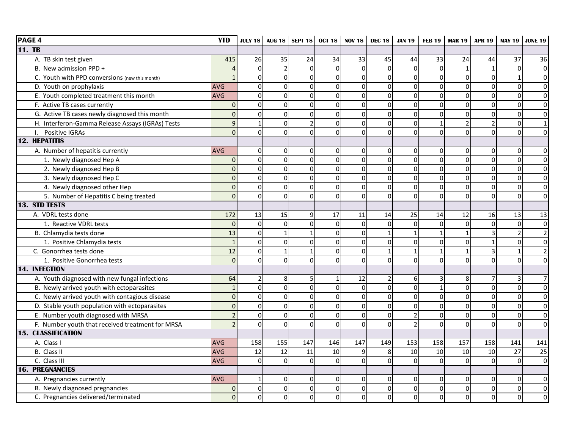| <b>PAGE 4</b>                                    | <b>YTD</b>      |                |                |                |                | <b>JULY 18</b> AUG 18 SEPT 18 OCT 18 NOV 18 | <b>DEC 18</b>  | <b>JAN 19</b>           | <b>FEB 19</b> |                | <b>MAR 19   APR 19  </b> | <b>MAY 19</b>  | <b>JUNE 19</b>          |
|--------------------------------------------------|-----------------|----------------|----------------|----------------|----------------|---------------------------------------------|----------------|-------------------------|---------------|----------------|--------------------------|----------------|-------------------------|
| 11. TB                                           |                 |                |                |                |                |                                             |                |                         |               |                |                          |                |                         |
| A. TB skin test given                            | 415             | 26             | 35             | 24             | 34             | 33                                          | 45             | 44                      | 33            | 24             | 44                       | 37             | 36                      |
| B. New admission PPD +                           | $\overline{a}$  | $\overline{0}$ | $\overline{2}$ | 0              | $\mathbf 0$    | $\Omega$                                    | $\mathbf 0$    | $\mathbf 0$             | $\Omega$      | $\mathbf{1}$   | $\mathbf{1}$             | $\mathbf 0$    | $\overline{0}$          |
| C. Youth with PPD conversions (new this month)   | $\mathbf{1}$    | $\overline{0}$ | $\Omega$       | 0              | $\Omega$       | $\Omega$                                    | $\pmb{0}$      | $\mathsf{O}\xspace$     | $\Omega$      | $\overline{0}$ | 0                        | $\mathbf{1}$   | $\overline{0}$          |
| D. Youth on prophylaxis                          | AVG             | $\circ$        | $\overline{0}$ | 0              | $\mathbf 0$    | $\Omega$                                    | $\mathbf 0$    | $\overline{\mathsf{o}}$ | $\mathbf 0$   | $\overline{0}$ | 0                        | $\mathbf 0$    | $\overline{0}$          |
| E. Youth completed treatment this month          | AVG             | οI             | $\Omega$       | 0              | $\Omega$       | $\Omega$                                    | $\Omega$       | $\overline{\mathsf{o}}$ | $\Omega$      | $\Omega$       | $\Omega$                 | $\Omega$       | $\overline{0}$          |
| F. Active TB cases currently                     | $\mathbf{0}$    | $\overline{0}$ | $\Omega$       | 0              | $\Omega$       | $\Omega$                                    | $\mathbf 0$    | $\overline{0}$          | $\Omega$      | $\overline{0}$ | 0                        | $\Omega$       | $\overline{0}$          |
| G. Active TB cases newly diagnosed this month    | $\mathbf 0$     | $\circ$        | $\overline{0}$ | $\pmb{0}$      | $\mathbf 0$    | $\Omega$                                    | $\mathbf 0$    | $\overline{\mathsf{o}}$ | $\mathbf 0$   | $\overline{0}$ | 0                        | $\mathbf 0$    | $\overline{\mathsf{o}}$ |
| H. Interferon-Gamma Release Assays (IGRAs) Tests | 9               | $\mathbf{1}$   | $\overline{0}$ | $\overline{2}$ | $\overline{0}$ | $\Omega$                                    | $\mathbf 0$    | $\overline{\mathsf{o}}$ | $\mathbf{1}$  | $\overline{2}$ | $\overline{2}$           | $\mathbf 0$    | $\mathbf{1}$            |
| I. Positive IGRAs                                | $\overline{0}$  | $\Omega$       | $\Omega$       | $\Omega$       | $\Omega$       | $\Omega$                                    | $\Omega$       | $\overline{0}$          | $\Omega$      | $\Omega$       | $\Omega$                 | $\Omega$       | $\overline{0}$          |
| <b>12. HEPATITIS</b>                             |                 |                |                |                |                |                                             |                |                         |               |                |                          |                |                         |
| A. Number of hepatitis currently                 | <b>AVG</b>      | $\overline{0}$ | $\Omega$       | 0              | 0              | $\Omega$                                    | $\mathbf 0$    | $\pmb{0}$               | $\Omega$      | $\Omega$       | 0                        | 0              | $\overline{0}$          |
| 1. Newly diagnosed Hep A                         | $\mathbf{0}$    | $\overline{0}$ | $\Omega$       | 0              | $\mathbf 0$    | $\Omega$                                    | $\mathbf 0$    | $\overline{\mathsf{o}}$ | $\Omega$      | $\overline{0}$ | 0                        | 0              | $\overline{0}$          |
| 2. Newly diagnosed Hep B                         | $\mathbf 0$     | $\overline{0}$ | $\overline{0}$ | 0              | $\mathbf 0$    | $\Omega$                                    | $\mathbf 0$    | $\overline{\mathsf{o}}$ | $\mathbf 0$   | $\overline{0}$ | 0                        | 0              | $\overline{0}$          |
| 3. Newly diagnosed Hep C                         | $\pmb{0}$       | $\overline{0}$ | $\Omega$       | $\mathbf 0$    | $\overline{0}$ | $\mathbf 0$                                 | $\overline{0}$ | $\overline{\mathsf{o}}$ | $\mathbf 0$   | $\overline{0}$ | 0                        | $\mathbf 0$    | $\overline{0}$          |
| 4. Newly diagnosed other Hep                     | $\mathbf 0$     | $\mathsf{o}$   | $\Omega$       | 0              | $\overline{0}$ | $\Omega$                                    | $\mathbf 0$    | $\overline{\mathsf{o}}$ | $\Omega$      | $\overline{0}$ | 0                        | $\Omega$       | $\overline{0}$          |
| 5. Number of Hepatitis C being treated           | $\Omega$        | $\Omega$       | $\Omega$       | $\Omega$       | $\Omega$       | $\Omega$                                    | $\Omega$       | $\mathbf 0$             | $\Omega$      | $\Omega$       | $\Omega$                 | $\Omega$       | $\overline{0}$          |
| 13. STD TESTS                                    |                 |                |                |                |                |                                             |                |                         |               |                |                          |                |                         |
| A. VDRL tests done                               | 172             | 13             | 15             | 9              | 17             | 11                                          | 14             | 25                      | 14            | 12             | 16                       | 13             | 13                      |
| 1. Reactive VDRL tests                           | $\Omega$        | $\mathsf{O}$   | $\Omega$       | 0              | $\Omega$       | $\Omega$                                    | $\mathbf 0$    | $\overline{0}$          | $\Omega$      | $\overline{0}$ | $\Omega$                 | $\Omega$       | $\pmb{0}$               |
| B. Chlamydia tests done                          | 13              | $\circ$        | $\mathbf{1}$   | $\mathbf{1}$   | $\overline{0}$ | $\Omega$                                    | $\mathbf{1}$   | $\mathbf 1$             | $\mathbf{1}$  | $\mathbf{1}$   | 3                        | $\overline{2}$ | $\overline{2}$          |
| 1. Positive Chlamydia tests                      | $\mathbf{1}$    | $\circ$        | $\Omega$       | $\mathbf 0$    | $\overline{0}$ | $\Omega$                                    | $\overline{0}$ | $\overline{\mathsf{o}}$ | $\mathbf 0$   | $\overline{0}$ | $\mathbf{1}$             | $\mathbf 0$    | $\overline{0}$          |
| C. Gonorrhea tests done                          | $\overline{12}$ | $\mathsf{o}$   | $\mathbf{1}$   | $\mathbf{1}$   | $\mathbf 0$    | $\Omega$                                    | $\mathbf{1}$   | $\mathbf 1$             | $\mathbf{1}$  | $\mathbf{1}$   | 3                        | $\mathbf{1}$   | $\overline{2}$          |
| 1. Positive Gonorrhea tests                      | $\mathbf 0$     | $\overline{0}$ | $\overline{0}$ | 0              | $\Omega$       | $\Omega$                                    | $\mathbf 0$    | $\mathbf 0$             | $\Omega$      | $\Omega$       | 0                        | 0              | $\overline{0}$          |
| 14. INFECTION                                    |                 |                |                |                |                |                                             |                |                         |               |                |                          |                |                         |
| A. Youth diagnosed with new fungal infections    | 64              | $\overline{2}$ | 8              | 5              | 1              | 12                                          | $\overline{2}$ | 6                       | 3             | 8              |                          | 3              | 7                       |
| B. Newly arrived youth with ectoparasites        | $\mathbf{1}$    | $\overline{0}$ | $\overline{0}$ | $\mathbf 0$    | $\mathbf 0$    | $\Omega$                                    | $\mathbf 0$    | $\overline{\mathsf{o}}$ | $\mathbf 1$   | $\overline{0}$ | 0                        | 0              | $\overline{0}$          |
| C. Newly arrived youth with contagious disease   | $\overline{0}$  | $\overline{0}$ | $\overline{0}$ | $\mathbf 0$    | $\mathbf 0$    | $\Omega$                                    | $\mathbf 0$    | $\overline{0}$          | $\mathbf 0$   | $\overline{0}$ | $\Omega$                 | $\mathbf 0$    | $\overline{0}$          |
| D. Stable youth population with ectoparasites    | $\mathbf 0$     | $\overline{0}$ | $\Omega$       | $\mathbf 0$    | $\Omega$       | $\Omega$                                    | $\overline{0}$ | $\overline{0}$          | $\Omega$      | $\overline{0}$ | $\Omega$                 | $\Omega$       | $\overline{0}$          |
| E. Number youth diagnosed with MRSA              | $\overline{2}$  | $\circ$        | $\overline{0}$ | 0              | $\mathbf 0$    | $\Omega$                                    | $\mathbf 0$    | $\overline{2}$          | $\mathbf 0$   | $\mathbf 0$    | 0                        | $\mathbf 0$    | $\mathbf 0$             |
| F. Number youth that received treatment for MRSA | $\overline{2}$  | $\Omega$       | $\Omega$       | 0              | $\Omega$       | $\Omega$                                    | $\Omega$       | $\overline{2}$          | $\Omega$      | $\Omega$       | $\Omega$                 | $\Omega$       | $\overline{0}$          |
| <b>15. CLASSIFICATION</b>                        |                 |                |                |                |                |                                             |                |                         |               |                |                          |                |                         |
| A. Class I                                       | <b>AVG</b>      | 158            | 155            | 147            | 146            | 147                                         | 149            | 153                     | 158           | 157            | 158                      | 141            | 141                     |
| B. Class II                                      | <b>AVG</b>      | 12             | 12             | 11             | 10             | 9                                           | 8              | 10                      | 10            | 10             | 10                       | 27             | 25                      |
| C. Class III                                     | AVG             | $\Omega$       | $\Omega$       | $\overline{0}$ | $\overline{0}$ | $\Omega$                                    | $\overline{0}$ | $\overline{\mathsf{o}}$ | $\Omega$      | $\overline{0}$ | $\mathbf 0$              | $\overline{0}$ | $\overline{\mathsf{o}}$ |
| <b>16. PREGNANCIES</b>                           |                 |                |                |                |                |                                             |                |                         |               |                |                          |                |                         |
| A. Pregnancies currently                         | <b>AVG</b>      | $\mathbf{1}$   | 0              | 0              | 0              | $\Omega$                                    | $\mathbf 0$    | $\pmb{0}$               | 0             | $\overline{0}$ | 0                        | 0              | $\overline{0}$          |
| B. Newly diagnosed pregnancies                   | $\mathbf 0$     | $\overline{0}$ | $\overline{0}$ | 0              | $\overline{0}$ | $\Omega$                                    | $\mathbf 0$    | $\overline{\mathsf{o}}$ | $\Omega$      | $\overline{0}$ | $\Omega$                 | $\mathbf 0$    | $\overline{0}$          |
| C. Pregnancies delivered/terminated              | $\overline{0}$  | $\Omega$       | $\Omega$       | 0              | $\mathbf 0$    | $\Omega$                                    | $\Omega$       | $\mathbf 0$             | $\Omega$      | $\overline{0}$ | 0                        | $\Omega$       | $\overline{0}$          |